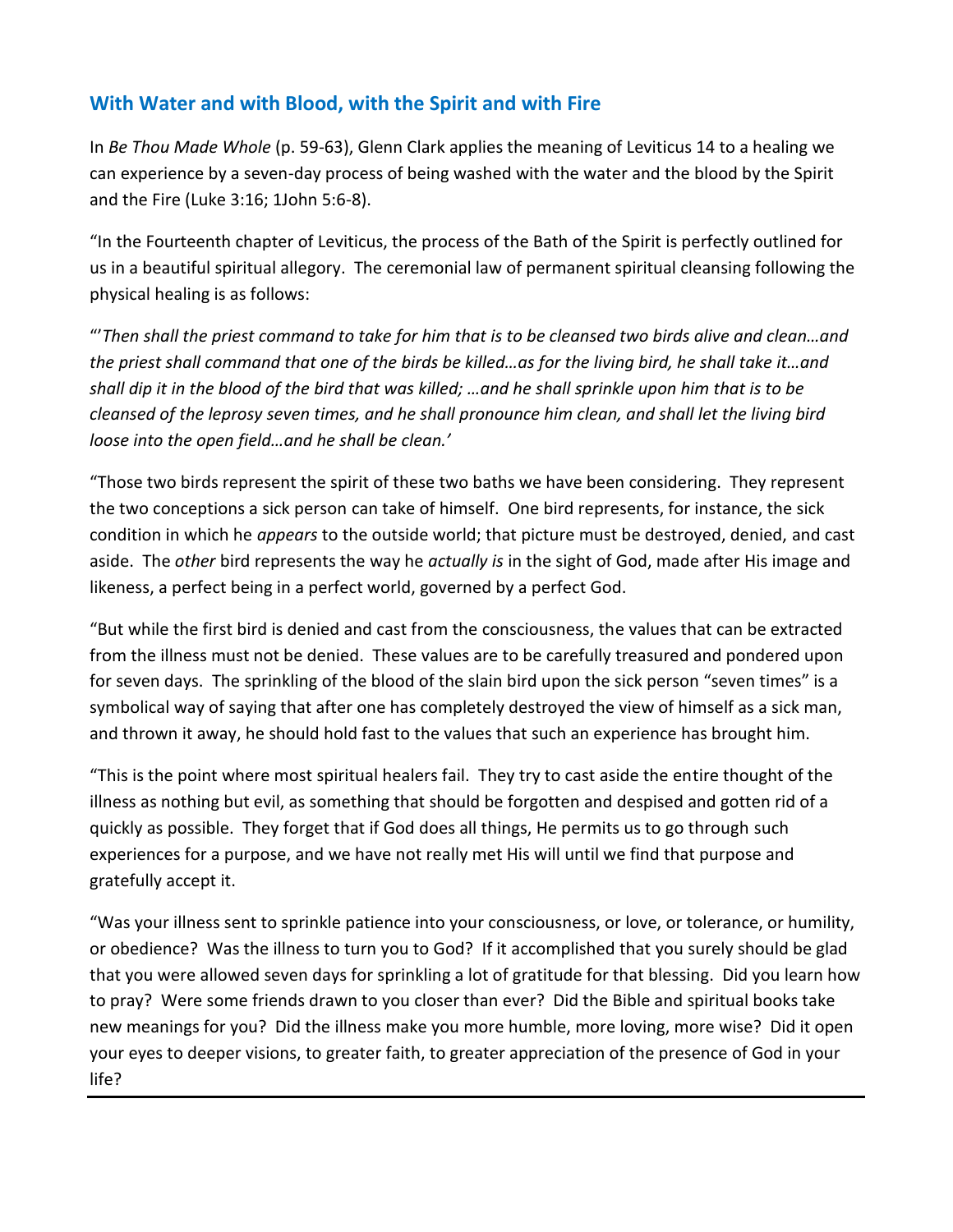## **With Water and with Blood, with the Spirit and with Fire**

In *Be Thou Made Whole* (p. 59-63), Glenn Clark applies the meaning of Leviticus 14 to a healing we can experience by a seven-day process of being washed with the water and the blood by the Spirit and the Fire (Luke 3:16; 1John 5:6-8).

"In the Fourteenth chapter of Leviticus, the process of the Bath of the Spirit is perfectly outlined for us in a beautiful spiritual allegory. The ceremonial law of permanent spiritual cleansing following the physical healing is as follows:

"'*Then shall the priest command to take for him that is to be cleansed two birds alive and clean…and the priest shall command that one of the birds be killed…as for the living bird, he shall take it…and shall dip it in the blood of the bird that was killed; …and he shall sprinkle upon him that is to be cleansed of the leprosy seven times, and he shall pronounce him clean, and shall let the living bird loose into the open field…and he shall be clean.'*

"Those two birds represent the spirit of these two baths we have been considering. They represent the two conceptions a sick person can take of himself. One bird represents, for instance, the sick condition in which he *appears* to the outside world; that picture must be destroyed, denied, and cast aside. The *other* bird represents the way he *actually is* in the sight of God, made after His image and likeness, a perfect being in a perfect world, governed by a perfect God.

"But while the first bird is denied and cast from the consciousness, the values that can be extracted from the illness must not be denied. These values are to be carefully treasured and pondered upon for seven days. The sprinkling of the blood of the slain bird upon the sick person "seven times" is a symbolical way of saying that after one has completely destroyed the view of himself as a sick man, and thrown it away, he should hold fast to the values that such an experience has brought him.

"This is the point where most spiritual healers fail. They try to cast aside the entire thought of the illness as nothing but evil, as something that should be forgotten and despised and gotten rid of a quickly as possible. They forget that if God does all things, He permits us to go through such experiences for a purpose, and we have not really met His will until we find that purpose and gratefully accept it.

"Was your illness sent to sprinkle patience into your consciousness, or love, or tolerance, or humility, or obedience? Was the illness to turn you to God? If it accomplished that you surely should be glad that you were allowed seven days for sprinkling a lot of gratitude for that blessing. Did you learn how to pray? Were some friends drawn to you closer than ever? Did the Bible and spiritual books take new meanings for you? Did the illness make you more humble, more loving, more wise? Did it open your eyes to deeper visions, to greater faith, to greater appreciation of the presence of God in your life?